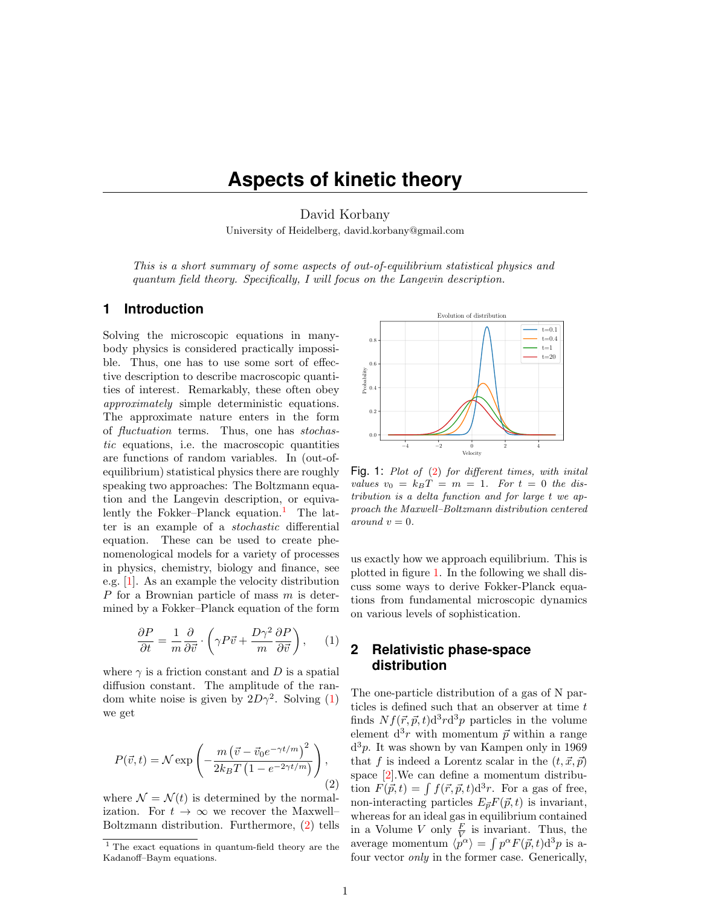# **Aspects of kinetic theory**

David Korbany University of Heidelberg, david.korbany@gmail.com

This is a short summary of some aspects of out-of-equilibrium statistical physics and quantum field theory. Specifically, I will focus on the Langevin description.

# **1 Introduction**

Solving the microscopic equations in manybody physics is considered practically impossible. Thus, one has to use some sort of effective description to describe macroscopic quantities of interest. Remarkably, these often obey approximately simple deterministic equations. The approximate nature enters in the form of fluctuation terms. Thus, one has stochastic equations, i.e. the macroscopic quantities are functions of random variables. In (out-ofequilibrium) statistical physics there are roughly speaking two approaches: The Boltzmann equation and the Langevin description, or equiva-lently the Fokker–Planck equation.<sup>[1](#page-0-0)</sup> The latter is an example of a stochastic differential equation. These can be used to create phenomenological models for a variety of processes in physics, chemistry, biology and finance, see e.g. [\[1\]](#page-3-0). As an example the velocity distribution P for a Brownian particle of mass m is determined by a Fokker–Planck equation of the form

<span id="page-0-1"></span>
$$
\frac{\partial P}{\partial t} = \frac{1}{m} \frac{\partial}{\partial \vec{v}} \cdot \left( \gamma P \vec{v} + \frac{D \gamma^2}{m} \frac{\partial P}{\partial \vec{v}} \right), \quad (1)
$$

where  $\gamma$  is a friction constant and D is a spatial diffusion constant. The amplitude of the random white noise is given by  $2D\gamma^2$ . Solving [\(1\)](#page-0-1) we get

<span id="page-0-2"></span>
$$
P(\vec{v},t) = \mathcal{N} \exp\left(-\frac{m\left(\vec{v} - \vec{v}_0 e^{-\gamma t/m}\right)^2}{2k_B T\left(1 - e^{-2\gamma t/m}\right)}\right),\tag{2}
$$

where  $\mathcal{N} = \mathcal{N}(t)$  is determined by the normalization. For  $t \to \infty$  we recover the Maxwell– Boltzmann distribution. Furthermore, [\(2\)](#page-0-2) tells



<span id="page-0-3"></span>Fig. 1: Plot of [\(2\)](#page-0-2) for different times, with inital values  $v_0 = k_B T = m = 1$ . For  $t = 0$  the distribution is a delta function and for large t we approach the Maxwell–Boltzmann distribution centered around  $v = 0$ .

us exactly how we approach equilibrium. This is plotted in figure [1.](#page-0-3) In the following we shall discuss some ways to derive Fokker-Planck equations from fundamental microscopic dynamics on various levels of sophistication.

# **2 Relativistic phase-space distribution**

The one-particle distribution of a gas of N particles is defined such that an observer at time t finds  $Nf(\vec{r}, \vec{p}, t) d^3r d^3p$  particles in the volume element  $d^3r$  with momentum  $\vec{p}$  within a range d <sup>3</sup>p. It was shown by van Kampen only in 1969 that f is indeed a Lorentz scalar in the  $(t, \vec{x}, \vec{p})$ space [\[2\]](#page-3-1).We can define a momentum distribution  $F(\vec{p}, t) = \int f(\vec{r}, \vec{p}, t) d^3r$ . For a gas of free, non-interacting particles  $E_{\vec{p}}F(\vec{p}, t)$  is invariant, whereas for an ideal gas in equilibrium contained in a Volume V only  $\frac{F}{V}$  is invariant. Thus, the average momentum  $\langle p^{\alpha} \rangle = \int p^{\alpha} F(\vec{p}, t) d^3 p$  is afour vector only in the former case. Generically,

<span id="page-0-0"></span><sup>1</sup> The exact equations in quantum-field theory are the Kadanoff–Baym equations.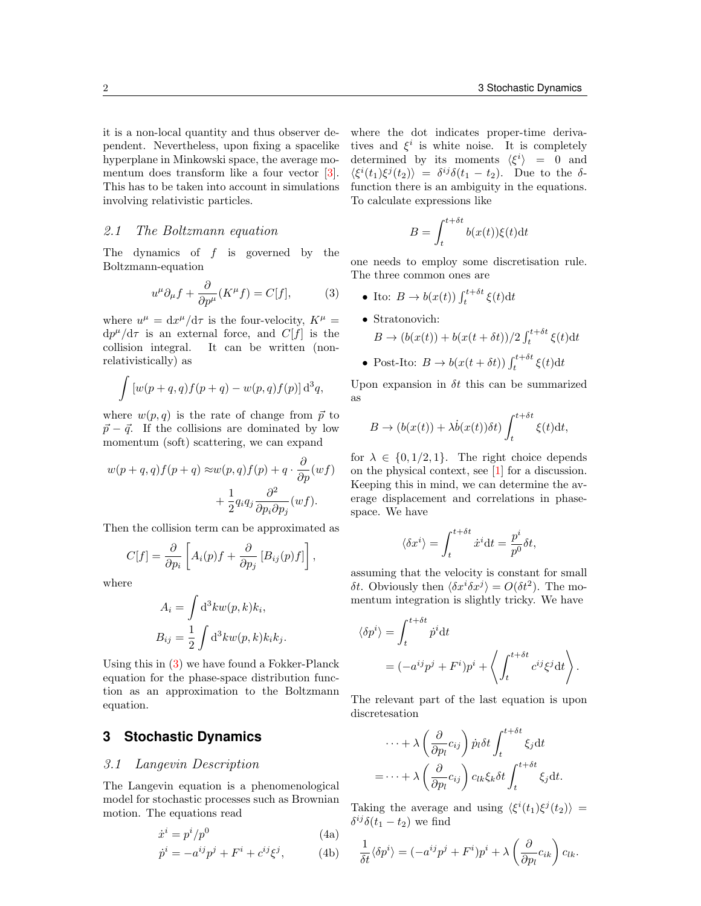it is a non-local quantity and thus observer dependent. Nevertheless, upon fixing a spacelike hyperplane in Minkowski space, the average momentum does transform like a four vector [\[3\]](#page-3-2). This has to be taken into account in simulations involving relativistic particles.

#### 2.1 The Boltzmann equation

The dynamics of  $f$  is governed by the Boltzmann-equation

<span id="page-1-0"></span>
$$
u^{\mu}\partial_{\mu}f + \frac{\partial}{\partial p^{\mu}}(K^{\mu}f) = C[f],\tag{3}
$$

where  $u^{\mu} = dx^{\mu}/d\tau$  is the four-velocity,  $K^{\mu} =$  $dp^{\mu}/d\tau$  is an external force, and  $C[f]$  is the collision integral. It can be written (nonrelativistically) as

$$
\int \left[ w(p+q,q)f(p+q) - w(p,q)f(p) \right] \mathrm{d}^3q,
$$

where  $w(p, q)$  is the rate of change from  $\vec{p}$  to  $\vec{p} - \vec{q}$ . If the collisions are dominated by low momentum (soft) scattering, we can expand

$$
w(p+q,q)f(p+q) \approx w(p,q)f(p) + q \cdot \frac{\partial}{\partial p}(wf) + \frac{1}{2}q_iq_j\frac{\partial^2}{\partial p_i \partial p_j}(wf).
$$

Then the collision term can be approximated as

$$
C[f] = \frac{\partial}{\partial p_i} \left[ A_i(p)f + \frac{\partial}{\partial p_j} \left[ B_{ij}(p)f \right] \right],
$$

where

$$
A_i = \int d^3k w(p,k)k_i,
$$
  

$$
B_{ij} = \frac{1}{2} \int d^3k w(p,k)k_i k_j.
$$

Using this in [\(3\)](#page-1-0) we have found a Fokker-Planck equation for the phase-space distribution function as an approximation to the Boltzmann equation.

# **3 Stochastic Dynamics**

#### 3.1 Langevin Description

The Langevin equation is a phenomenological model for stochastic processes such as Brownian motion. The equations read

<span id="page-1-1"></span>
$$
\dot{x}^i = p^i/p^0 \tag{4a}
$$

$$
\dot{p}^i = -a^{ij}p^j + F^i + c^{ij}\xi^j,\tag{4b}
$$

where the dot indicates proper-time derivatives and  $\xi^i$  is white noise. It is completely determined by its moments  $\langle \xi^i \rangle = 0$  and  $\langle \xi^i(t_1)\xi^j(t_2)\rangle = \delta^{ij}\delta(t_1 - t_2)$ . Due to the  $\delta$ function there is an ambiguity in the equations. To calculate expressions like

$$
B = \int_{t}^{t + \delta t} b(x(t))\xi(t)dt
$$

one needs to employ some discretisation rule. The three common ones are

- Ito:  $B \to b(x(t)) \int_{t}^{t+\delta t} \xi(t) dt$
- Stratonovich:  $B \to (b(x(t)) + b(x(t + \delta t))/2 \int_t^{t + \delta t} \xi(t) dt$
- Post-Ito:  $B \to b(x(t + \delta t)) \int_{t}^{t + \delta t} \xi(t) dt$

Upon expansion in  $\delta t$  this can be summarized as

$$
B \to (b(x(t)) + \lambda \dot{b}(x(t))\delta t) \int_{t}^{t+\delta t} \xi(t) dt,
$$

for  $\lambda \in \{0, 1/2, 1\}$ . The right choice depends on the physical context, see [\[1\]](#page-3-0) for a discussion. Keeping this in mind, we can determine the average displacement and correlations in phasespace. We have

$$
\langle \delta x^i \rangle = \int_{t}^{t+\delta t} \dot{x}^i \mathrm{d}t = \frac{p^i}{p^0} \delta t,
$$

assuming that the velocity is constant for small δt. Obviously then  $\langle \delta x^i \delta x^j \rangle = O(\delta t^2)$ . The momentum integration is slightly tricky. We have

$$
\langle \delta p^i \rangle = \int_t^{t+\delta t} \dot{p}^i dt
$$
  
=  $(-a^{ij}p^j + F^i)p^i + \left\langle \int_t^{t+\delta t} c^{ij}\xi^j dt \right\rangle$ .

The relevant part of the last equation is upon discretesation

$$
\cdots + \lambda \left(\frac{\partial}{\partial p_l} c_{ij}\right) \dot{p}_l \delta t \int_t^{t+\delta t} \xi_j dt
$$

$$
= \cdots + \lambda \left(\frac{\partial}{\partial p_l} c_{ij}\right) c_{lk} \xi_k \delta t \int_t^{t+\delta t} \xi_j dt.
$$

Taking the average and using  $\langle \xi^i(t_1) \xi^j(t_2) \rangle$  =  $\delta^{ij}\delta(t_1-t_2)$  we find

$$
\frac{1}{\delta t} \langle \delta p^i \rangle = (-a^{ij} p^j + F^i) p^i + \lambda \left( \frac{\partial}{\partial p_l} c_{ik} \right) c_{lk}.
$$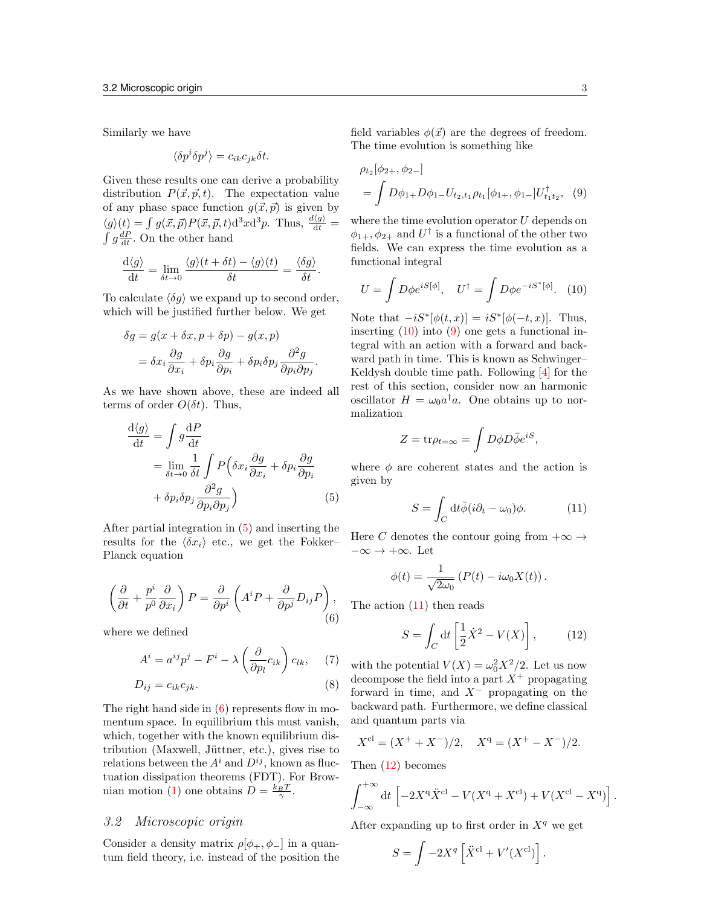Similarly we have

$$
\langle \delta p^i \delta p^j \rangle = c_{ik} c_{jk} \delta t.
$$

Given these results one can derive a probability distribution  $P(\vec{x}, \vec{p}, t)$ . The expectation value of any phase space function  $g(\vec{x}, \vec{p})$  is given by  $\langle g \rangle(t) = \int g(\vec{x}, \vec{p}) P(\vec{x}, \vec{p}, t) d^3x d^3p$ . Thus,  $\frac{d\langle g \rangle}{dt} = \int g \frac{dP}{dt}$ . On the other hand

$$
\frac{\mathrm{d}\langle g \rangle}{\mathrm{d}t} = \lim_{\delta t \to 0} \frac{\langle g \rangle(t + \delta t) - \langle g \rangle(t)}{\delta t} = \frac{\langle \delta g \rangle}{\delta t}.
$$

To calculate  $\langle \delta q \rangle$  we expand up to second order, which will be justified further below. We get

$$
\delta g = g(x + \delta x, p + \delta p) - g(x, p)
$$
  
=  $\delta x_i \frac{\partial g}{\partial x_i} + \delta p_i \frac{\partial g}{\partial p_i} + \delta p_i \delta p_j \frac{\partial^2 g}{\partial p_i \partial p_j}.$ 

As we have shown above, these are indeed all terms of order  $O(\delta t)$ . Thus,

$$
\frac{d\langle g \rangle}{dt} = \int g \frac{dP}{dt}
$$
  
= 
$$
\lim_{\delta t \to 0} \frac{1}{\delta t} \int P\left(\delta x_i \frac{\partial g}{\partial x_i} + \delta p_i \frac{\partial g}{\partial p_i}\right)
$$
  
+ 
$$
\delta p_i \delta p_j \frac{\partial^2 g}{\partial p_i \partial p_j}\right) \tag{5}
$$

After partial integration in [\(5\)](#page-2-0) and inserting the results for the  $\langle \delta x_i \rangle$  etc., we get the Fokker– Planck equation

<span id="page-2-1"></span>
$$
\left(\frac{\partial}{\partial t} + \frac{p^i}{p^0} \frac{\partial}{\partial x_i}\right) P = \frac{\partial}{\partial p^i} \left(A^i P + \frac{\partial}{\partial p^j} D_{ij} P\right),\tag{6}
$$

where we defined

$$
A^{i} = a^{ij}p^{j} - F^{i} - \lambda \left(\frac{\partial}{\partial p_{l}}c_{ik}\right)c_{lk}, \quad (7)
$$

$$
D_{ij} = c_{ik}c_{jk}.\tag{8}
$$

The right hand side in  $(6)$  represents flow in momentum space. In equilibrium this must vanish, which, together with the known equilibrium distribution (Maxwell, Jüttner, etc.), gives rise to relations between the  $A^i$  and  $D^{ij}$ , known as fluctuation dissipation theorems (FDT). For Brow-nian motion [\(1\)](#page-0-1) one obtains  $D = \frac{k_B T}{\gamma}$ .

### 3.2 Microscopic origin

Consider a density matrix  $\rho[\phi_+, \phi_-]$  in a quantum field theory, i.e. instead of the position the field variables  $\phi(\vec{x})$  are the degrees of freedom. The time evolution is something like

<span id="page-2-3"></span>
$$
\rho_{t_2}[\phi_{2+}, \phi_{2-}]
$$
  
=  $\int D\phi_{1+} D\phi_{1-} U_{t_2,t_1} \rho_{t_1}[\phi_{1+}, \phi_{1-}] U_{t_1t_2}^{\dagger}, (9)$ 

where the time evolution operator U depends on  $\phi_{1+}, \phi_{2+}$  and  $U^{\dagger}$  is a functional of the other two fields. We can express the time evolution as a functional integral

<span id="page-2-2"></span>
$$
U = \int D\phi e^{iS[\phi]}, \quad U^{\dagger} = \int D\phi e^{-iS^*[\phi]}.\tag{10}
$$

Note that  $-iS^*[\phi(t,x)] = iS^*[\phi(-t,x)]$ . Thus, inserting  $(10)$  into  $(9)$  one gets a functional integral with an action with a forward and backward path in time. This is known as Schwinger– Keldysh double time path. Following [\[4\]](#page-3-3) for the rest of this section, consider now an harmonic oscillator  $H = \omega_0 a^{\dagger} a$ . One obtains up to normalization

$$
Z = \text{tr}\rho_{t=\infty} = \int D\phi D\bar{\phi}e^{iS},
$$

<span id="page-2-0"></span>where  $\phi$  are coherent states and the action is given by

<span id="page-2-4"></span>
$$
S = \int_C dt \bar{\phi}(i\partial_t - \omega_0)\phi.
$$
 (11)

Here C denotes the contour going from  $+\infty \rightarrow$  $-\infty \to +\infty$ . Let

$$
\phi(t) = \frac{1}{\sqrt{2\omega_0}} \left( P(t) - i\omega_0 X(t) \right).
$$

The action [\(11\)](#page-2-4) then reads

<span id="page-2-5"></span>
$$
S = \int_C dt \left[ \frac{1}{2} \dot{X}^2 - V(X) \right],\tag{12}
$$

with the potential  $V(X) = \omega_0^2 X^2/2$ . Let us now decompose the field into a part  $X^+$  propagating forward in time, and  $X^-$  propagating on the backward path. Furthermore, we define classical and quantum parts via

$$
X^{cl} = (X^+ + X^-)/2
$$
,  $X^q = (X^+ - X^-)/2$ .

Then [\(12\)](#page-2-5) becomes

$$
\int_{-\infty}^{+\infty} dt \left[ -2X^{q} \ddot{X}^{cl} - V(X^{q} + X^{cl}) + V(X^{cl} - X^{q}) \right]
$$

.

After expanding up to first order in  $X<sup>q</sup>$  we get

$$
S = \int -2X^q \left[ \ddot{X}^{\text{cl}} + V'(X^{\text{cl}}) \right].
$$